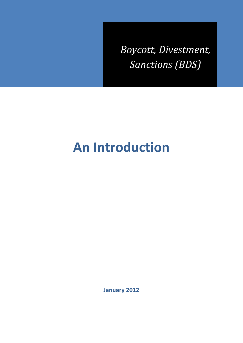*Boycott, Divestment, Sanctions (BDS)*

# **An Introduction**

**January 2012**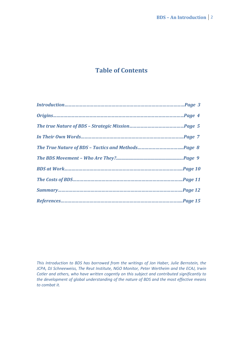# **Table of Contents**

*This Introduction to BDS has borrowed from the writings of Jon Haber, Julie Bernstein, the JCPA, DJ Schneeweiss, The Reut Institute, NGO Monitor, Peter Wertheim and the ECAJ, Irwin Cotler and others, who have written cogently on this subject and contributed significantly to the development of global understanding of the nature of BDS and the most effective means to combat it.*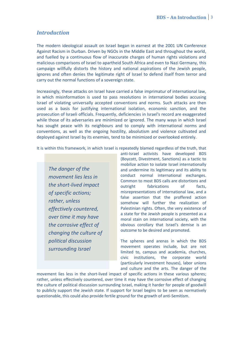#### *Introduction*

The modern ideological assault on Israel began in earnest at the 2001 UN Conference Against Racism in Durban. Driven by NGOs in the Middle East and throughout the world, and fuelled by a continuous flow of inaccurate charges of human rights violations and malicious comparisons of Israel to apartheid South Africa and even to Nazi Germany, this campaign willfully distorts the history and national aspirations of the Jewish people, ignores and often denies the legitimate right of Israel to defend itself from terror and carry out the normal functions of a sovereign state.

Increasingly, these attacks on Israel have carried a false imprimatur of international law, in which misinformation is used to pass resolutions in international bodies accusing Israel of violating universally accepted conventions and norms. Such attacks are then used as a basis for justifying international isolation, economic sanction, and the prosecution of Israeli officials. Frequently, deficiencies in Israel's record are exaggerated while those of its adversaries are minimized or ignored. The many ways in which Israel has sought peace with its neighbours and to comply with international norms and conventions, as well as the ongoing hostility, absolutism and violence cultivated and deployed against Israel by its enemies, tend to be minimized or overlooked entirely.

It is within this framework, in which Israel is repeatedly blamed regardless of the truth, that

*The danger of the movement lies less in the short-lived impact of specific actions; rather, unless effectively countered, over time it may have the corrosive effect of changing the culture of political discussion surrounding Israel*

anti-Israel activists have developed BDS (Boycott, Divestment, Sanctions) as a tactic to mobilize action to isolate Israel internationally and undermine its legitimacy and its ability to conduct normal international exchanges. Common to most BDS calls are distortions and outright fabrications of facts, misrepresentations of international law, and a false assertion that the proffered action somehow will further the realization of Palestinian rights. Often, the very existence of a state for the Jewish people is presented as a moral stain on international society, with the obvious corollary that Israel's demise is an outcome to be desired and promoted.

The spheres and arenas in which the BDS movement operates include, but are not limited to, campus and academia, churches, civic institutions, the corporate world (particularly investment houses), labor unions and culture and the arts. The danger of the

movement lies less in the short-lived impact of specific actions in these various spheres; rather, unless effectively countered, over time it may have the corrosive effect of changing the culture of political discussion surrounding Israel, making it harder for people of goodwill to publicly support the Jewish state. If support for Israel begins to be seen as normatively questionable, this could also provide fertile ground for the growth of anti-Semitism.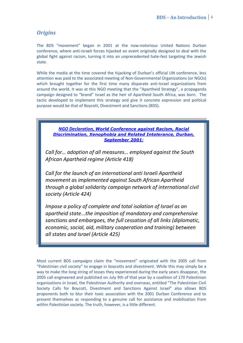# *Origins*

The BDS "movement" began in 2001 at the now-notorious United Nations Durban conference, where anti-Israeli forces hijacked an event originally designed to deal with the global fight against racism, turning it into an unprecedented hate-fest targeting the Jewish state.

While the media at the time covered the hijacking of Durban's official UN conference, less attention was paid to the associated meeting of Non-Governmental Organizations (or NGOs) which brought together for the first time many disparate anti-Israel organizations from around the world. It was at this NGO meeting that the "Apartheid Strategy", a propaganda campaign designed to "brand" Israel as the heir of Apartheid South Africa, was born. The tactic developed to implement this strategy and give it concrete expression and political purpose would be that of Boycott, Divestment and Sanctions (BDS).



*Call for… adoption of all measures… employed against the South African Apartheid regime (Article 418)*

*Call for the launch of an international anti Israeli Apartheid movement as implemented against South African Apartheid through a global solidarity campaign network of international civil society (Article 424)*

*Impose a policy of complete and total isolation of Israel as an apartheid state...the imposition of mandatory and comprehensive sanctions and embargoes, the full cessation of all links (diplomatic, economic, social, aid, military cooperation and training) between all states and Israel (Article 425)* 

Most current BDS campaigns claim the "movement" originated with the 2005 call from "Palestinian civil society" to engage in boycotts and divestment. While this may simply be a way to make the long string of losses they experienced during the early years disappear, the 2005 call engineered and published on July 9th of that year by a coalition of 170 Palestinian organizations in Israel, the Palestinian Authority and overseas, entitled "The Palestinian Civil Society Calls for Boycott, Divestment and Sanctions Against Israel" also allows BDS proponents both to blur their toxic association with the 2001 Durban Conference and to present themselves as responding to a genuine call for assistance and mobilization from within Palestinian society. The truth, however, is a little different.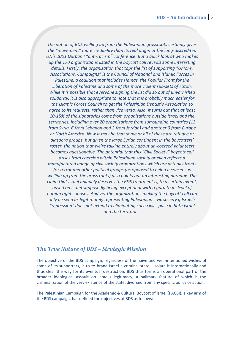*The notion of BDS welling up from the Palestinian grassroots certainly gives the "movement" more credibility than its real origin at the long-discredited UN's 2001 Durban I "anti-racism" conference. But a quick look at who makes up the 170 organizations listed in the boycott call reveals some interesting details. Firstly, the organization that tops the list of supporting "Unions, Associations, Campaigns" is the Council of National and Islamic Forces in Palestine, a coalition that includes Hamas, the Popular Front for the Liberation of Palestine and some of the more violent sub-sets of Fatah. While it is possible that everyone signing the list did so out of unvarnished solidarity, it is also appropriate to note that it is probably much easier for the Islamic Forces Council to get the Palestinian Dentist's Association to agree to its requests, rather than vice versa. Also, it turns out that at least 10-15% of the signatories come from organizations outside Israel and the territories, including over 20 organizations from surrounding countries (13 from Syria, 6 from Lebanon and 2 from Jordan) and another 9 from Europe or North America. Now it may be that some or all of these are refugee or diaspora groups, but given the large Syrian contingent in the boycotters' roster, the notion that we're talking entirely about un-coerced volunteers becomes questionable. The potential that this "Civil Society" boycott call arises from coercion within Palestinian society or even reflects a manufactured image of civil society organizations which are actually fronts for terror and other political groups (as opposed to being a consensus welling up from the grass roots) also points out an interesting paradox. The claim that Israel uniquely deserves the BDS treatment is, to a certain extent, based on Israel supposedly being exceptional with regard to its level of human rights abuses. And yet the organizations making the boycott call can only be seen as legitimately representing Palestinian civic society if Israel's "repression" does not extend to eliminating such civic space in both Israel and the territories.*

#### *The True Nature of BDS – Strategic Mission*

The objective of the BDS campaign, regardless of the naïve and well-intentioned wishes of some of its supporters, is to to brand Israel a criminal state, isolate it internationally and thus clear the way for its eventual destruction. BDS thus forms an operational part of the broader ideological assault on Israel's legitimacy, a hallmark feature of which is the criminalization of the very existence of the state, divorced from any specific policy or action.

The Palestinian Campaign for the Academic & Cultural Boycott of Israel (PACBI), a key arm of the BDS campaign, has defined the objectives of BDS as follows: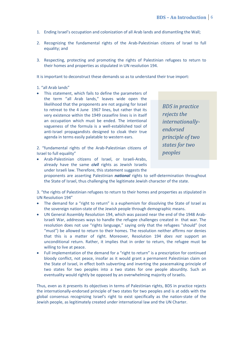- 1. Ending Israel's occupation and colonization of all Arab lands and dismantling the Wall;
- 2. Recognizing the fundamental rights of the Arab-Palestinian citizens of Israel to full equality; and
- 3. Respecting, protecting and promoting the rights of Palestinian refugees to return to their homes and properties as stipulated in UN resolution 194.

It is important to deconstruct these demands so as to understand their true import:

1. "all Arab lands"

• This statement, which fails to define the parameters of the term "all Arab lands," leaves wide open the likelihood that the proponents are not arguing for Israel to retreat to the 4 June 1967 lines, but rather that its very existence within the 1949 ceasefire lines is in itself an occupation which must be ended. The intentional vagueness of the formula is a well-established tool of anti-Israel propagandists designed to cloak their true agenda in terms easily palatable to western ears.

2. "fundamental rights of the Arab-Palestinian citizens of Israel to full equality"

 Arab-Palestinian citizens of Israel, or Israeli-Arabs, already have the same *civil* rights as Jewish Israelis under Israeli law. Therefore, this statement suggests the

*BDS in practice rejects the internationallyendorsed principle of two states for two peoples*

proponents are asserting Palestinian *national* rights to self-determination throughout the State of Israel, thus challenging the legitimate Jewish character of the state.

3. "the rights of Palestinian refugees to return to their homes and properties as stipulated in UN Resolution 194"

- The demand for a "right to return" is a euphemism for dissolving the State of Israel as the sovereign nation-state of the Jewish people through demographic means.
- UN General Assembly Resolution 194, which was passed near the end of the 1948 Arab-Israeli War, addresses ways to handle the refugee challenges created in that war. The resolution does not use "rights language," saying only that the refugees "should" (not "must") be allowed to return to their homes. The resolution neither affirms nor denies that this is a matter of right. Moreover, Resolution 194 *does not* support an unconditional return. Rather, it implies that in order to return, the refugee must be willing to live at peace.
- Full implementation of the demand for a "right to return" is a prescription for continued bloody conflict, not peace, insofar as it would grant a permanent Palestinian claim on the State of Israel, in effect both subverting and inverting the peacemaking principle of two states for two peoples into a two states for one people absurdity. Such an eventuality would rightly be opposed by an overwhelming majority of Israelis.

Thus, even as it presents its objectives in terms of Palestinian rights, BDS in practice rejects the internationally-endorsed principle of two states for two peoples and is at odds with the global consensus recognizing Israel's right to exist specifically as the nation-state of the Jewish people, as legitimately created under international law and the UN Charter.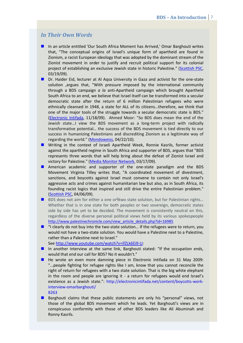### *In Their Own Words*

- In an article entitled 'Our South Africa Moment has Arrived,' Omar Barghouti writes that, "The conceptual origins of Israel's unique form of apartheid are found in Zionism, a racist European ideology that was adopted by the dominant stream of the Zionist movement in order to justify and recruit political support for its colonial project of establishing an exclusive Jewish state in historic Palestine." [\(Scottish PSC,](http://www.scottishpsc.org.uk/index.php?option=com_content&view=article&id=2854:-our-south-africa-moment-has-arrived&catid=299:analyses&Itemid=200222) 03/19/09).
- Dr. Haider Eid, lecturer at Al Aqsa University in Gaza and activist for the one-state solution ,argues that, "With pressure imposed by the international community through a BDS campaign *a la* anti-Apartheid campaign which brought Apartheid South Africa to an end, we believe that Israel itself can be transformed into a secular democratic state after the return of 6 million Palestinian refugees who were ethnically cleansed in 1948, a state for ALL of its citizens…therefore, we think that one of the major tools of the struggle towards a secular democratic state is BDS." [\(Electronic Intifada,](http://intifada-palestine.com/2009/11/dr-haider-eid-on-bds-movement/) 11/18/09). Ahmed Moor: "So BDS does mean the end of the Jewish state…I view the BDS movement as a long-term project with radically transformative potential… the success of the BDS movement is tied directly to our success in humanizing Palestinians and discrediting Zionism as a legitimate way of regarding the world." [\(Mondoweiss,](http://mondoweiss.net/2010/04/bds-is-a-long-term-project-with-radically-transformative-potential.html) 04/22/10).
- **M** Writing in the context of Israeli Apartheid Week, Ronnie Kasrils, former activist against the apartheid regime in South Africa and supporter of BDS, argues that "BDS represents three words that will help bring about the defeat of Zionist Israel and victory for Palestine." [\(Media Monitor Network,](http://world.mediamonitors.net/content/view/full/60684/) 03/17/09).
- American academic and supporter of the one-state paradigm and the BDS Movement Virginia Tilley writes that, "A coordinated movement of divestment, sanctions, and boycotts against Israel must convene to contain not only Israel's aggressive acts and crimes against humanitarian law but also, as in South Africa, its founding racist logics that inspired and still drive the entire Palestinian problem." [\(Scottish PSC,](http://www.scottishpsc.org.uk/index.php?option=com_content&view=article&id=2864:salim-vally-the-campaign-to-isolate-apartheid-israel-lessons-from-south-africa&catid=299:analyses&Itemid=200222) 04/06/09).
- BDS does not aim for either a one or₠two state solution, but for Palestinian rights... Whether that is in one state for both peoples or two sovereign, democratic states side by side has yet to be decided. The movement is consistently neutral on this, regardless of the diverse personal political views held by its various spokespeople [http://www.palestinechronicle.com/view\\_article\\_details.php?id=16985](http://www.palestinechronicle.com/view_article_details.php?id=16985)
- $\blacksquare$  "I clearly do not buy into the two-state solution... If the refugees were to return, you would not have a two-state solution. You would have a Palestine next to a Palestine, rather than a Palestine next to Israel."
	- See [http://www.youtube.com/watch?v=ifZLk6Ei9-U:](http://www.youtube.com/watch?v=ifZLk6Ei9-U)
- In another interview at the same link, Barghouti stated: "If the occupation ends, would that end our call for BDS? No it wouldn't."
- He wrote an even more damning piece in Electronic Intifada on 31 May 2009: "...people fighting for refugee rights like I am, know that you cannot reconcile the right of return for refugees with a two state solution. That is the big white elephant in the room and people are ignoring it - a return for refugees would end Israel's existence as a Jewish state.": http://electronicintifada.net/content/boycotts-workinterview-omarbarghouti/ 8263
- **Barghouti claims that these public statements are only his "personal" views, not** those of the global BDS movement which he leads. Yet Barghouti's views are in conspicuous conformity with those of other BDS leaders like Ali Abuminah and Ronny Kasrils.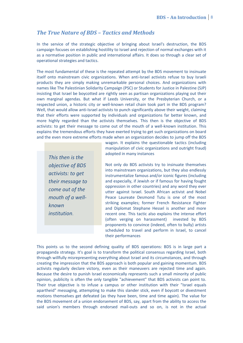# *The True Nature of BDS – Tactics and Methods*

In the service of the strategic objective of bringing about Israel's destruction, the BDS campaign focuses on establishing hostility to Israel and rejection of normal exchanges with it as a normative position in public and international affairs. It does so through a clear set of operational strategies and tactics.

The most fundamental of these is the repeated attempt by the BDS movement to insinuate itself onto mainstream civic organizations. When anti-Israel activists refuse to buy Israeli products they are simply making unremarkable personal choices. And organizations with names like The Palestinian Solidarity Campaign (PSC) or Students for Justice in Palestine (SJP) insisting that Israel be boycotted are rightly seen as partisan organizations playing out their own marginal agendas. But what if Leeds University, or the Presbyterian Church, or a respected union, a historic city or well-known retail chain took part in the BDS program? Well, that would allow anti-Israel activists to punch significantly above their weight, claiming that their efforts were supported by individuals and organizations far better known, and more highly regarded than the activists themselves. This then is the objective of BDS activists: to get their message to come out of the mouth of a well-known institution. This explains the tremendous efforts they have exerted trying to get such organizations on board and the even more extreme efforts made when an organization decides to jump off the BDS

*This then is the objective of BDS activists: to get their message to come out of the mouth of a wellknown institution*.

wagon. It explains the questionable tactics (including manipulation of civic organizations and outright fraud) adopted in many instances

Not only do BDS activists try to insinuate themselves into mainstream organizations, but they also endlessly instrumentalize famous and/or iconic figures (including and especially, if Jewish or if famous for having fought oppression in other countries) and any word they ever utter against Israel. South African activist and Nobel Peace Laureate Desmond Tutu is one of the most striking examples; former French Resistance Fighter and Diplomat Stephane Hessel is another and more recent one. This tactic also explains the intense effort (often verging on harassment) invested by BDS proponents to convince (indeed, often to bully) artists scheduled to travel and perform in Israel, to cancel their performances

This points us to the second defining quality of BDS operations: BDS is in large part a propaganda strategy. It's goal is to transform the political consensus regarding Israel, both through willfully misrepresenting everything about Israel and its circumstances, and through creating the impression that the BDS approach is both popular and gaining momentum. BDS activists regularly declare victory, even as their maneuvers are rejected time and again. Because the desire to punish Israel economically represents such a small minority of public opinion, publicity is often the only tangible "achievement" that BDS activists can point to. Their true objective is to infuse a campus or other institution with their "Israel equals apartheid" messaging, attempting to make this slander stick, even if boycott or divestment motions themselves get defeated (as they have been, time and time again). The value for the BDS movement of a union endorsement of BDS, say, apart from the ability to access the said union's members through endorsed mail-outs and so on, is not in the actual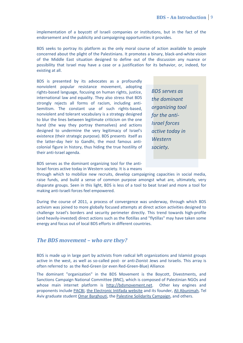implementation of a boycott of Israeli companies or institutions, but in the fact of the endorsement and the publicity and campaigning opportunities it provides.

BDS seeks to portray its platform as the only moral course of action available to people concerned about the plight of the Palestinians. It promotes a binary, black-and-white vision of the Middle East situation designed to define out of the discussion any nuance or possibility that Israel may have a case or a justification for its behavior, or, indeed, for existing at all.

BDS is presented by its advocates as a profoundly nonviolent popular resistance movement, adopting rights-based language, focusing on human rights, justice, international law and equality. They also stress that BDS strongly rejects all forms of racism, including anti-Semitism. The constant use of such rights-based, nonviolent and tolerant vocabulary is a strategy designed to blur the lines between legitimate criticism on the one hand (the way they portray themselves) and actions designed to undermine the very legitimacy of Israel's existence (their strategic purpose). BDS presents itself as the latter-day heir to Gandhi, the most famous anticolonial figure in history, thus hiding the true hostility of their anti-Israel agenda.

*BDS serves as the dominant organizing tool for the anti-Israel forces active today in Western society.*

BDS serves as the dominant organizing tool for the anti-Israel forces active today in Western society. It is a means

through which to mobilize new recruits, develop campaigning capacities in social media, raise funds, and build a sense of common purpose amongst what are, ultimately, very disparate groups. Seen in this light, BDS is less of a tool to beat Israel and more a tool for making anti-Israeli forces feel empowered.

During the course of 2011, a process of convergence was underway, through which BDS activism was joined to more globally focused attempts at direct action activities designed to challenge Israel's borders and security perimeter directly. This trend towards high-profile (and heavily-invested) direct actions such as the flotillas and "flytillas" may have taken some energy and focus out of local BDS efforts in different countries.

#### *The BDS movement – who are they?*

BDS is made up in large part by activists from radical left organizations and Islamist groups active in the west, as well as so-called post- or anti-Zionist Jews and Israelis. This array is often referred to as the Red-Green (or even Red-Green-Blue) Alliance:

The dominant "organization" in the BDS Movement is the Boycott, Divestments, and Sanctions Campaign National Committee (BNC), which is composed of Palestinian NGOs and whose main internet platform is [http://bdsmovement.net.](http://bdsmovement.net/) Other key engines and proponents include [PACBI,](http://www.pacbi.org/) [the Electronic Intifada website](http://electronicintifada.net/) and its founder, [Ali Abunimah,](http://en.wikipedia.org/wiki/Ali_Abunimah) Tel Aviv graduate student [Omar Barghouti,](http://en.wikipedia.org/wiki/Omar_Barghouti) the [Palestine Solidarity Campaign,](http://palestinecampaign.org/) and others.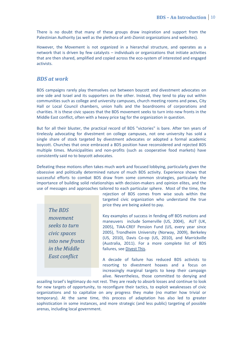There is no doubt that many of these groups draw inspiration and support from the Palestinian Authority (as well as the plethora of anti-Zionist organizations and websites).

However, the Movement is not organized in a hierarchal structure, and operates as a network that is driven by few catalysts – individuals or organizations that initiate activities that are then shared, amplified and copied across the eco-system of interested and engaged activists.

#### *BDS at work*

BDS campaigns rarely play themselves out between boycott and divestment advocates on one side and Israel and its supporters on the other. Instead, they tend to play out within communities such as college and university campuses, church meeting rooms and pews, City Hall or Local Council chambers, union halls and the boardrooms of corporations and charities. It is these civic spaces that the BDS movement seeks to turn into new fronts in the Middle East conflict, often with a heavy price tag for the organization in question.

But for all their bluster, the practical record of BDS "victories" is bare. After ten years of tirelessly advocating for divestment on college campuses, not one university has sold a single share of stock targeted by divestment advocates or adopted a formal academic boycott. Churches that once embraced a BDS position have reconsidered and rejected BDS multiple times. Municipalities and non-profits (such as cooperative food markets) have consistently said no to boycott advocates.

Defeating these motions often takes much work and focused lobbying, particularly given the obsessive and politically determined nature of much BDS activity. Experience shows that successful efforts to combat BDS draw from some common strategies, particularly the importance of building solid relationships with decision-makers and opinion elites, and the use of messages and approaches tailored to each particular sphere. Most of the time, the

*The BDS movement seeks to turn civic spaces into new fronts in the Middle East conflict*

rejection of BDS comes from wise souls within the targeted civic organization who understand the true price they are being asked to pay.

Key examples of success in fending off BDS motions and maneuvers include Somerville (US, 2004), AUT (UK, 2005), TIAA-CREF Pension Fund (US, every year since 2005), Trondheim University (Norway, 2009), Berkeley (US, 2010), Davis Co-op (US, 2010), and Marrickville (Australia, 2011). For a more complete list of BDS failures, se[e Divest This.](http://www.divestthis.com/2011/11/world-to-bds-but-you-are-losers.html)

A decade of failure has reduced BDS activists to resorting to divestment hoaxes and a focus on increasingly marginal targets to keep their campaign alive. Nevertheless, those committed to denying and

assailing Israel's legitimacy do not rest. They are ready to absorb losses and continue to look for new targets of opportunity, to reconfigure their tactics, to exploit weaknesses of civic organizations and to capitalize on any progress they make (no matter how trivial or temporary). At the same time, this process of adaptation has also led to greater sophistication in some instances, and more strategic (and less public) targeting of possible arenas, including local government.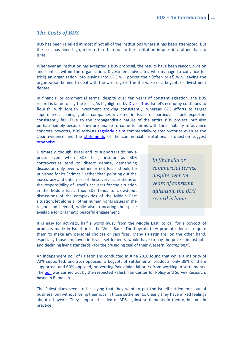# *The Costs of BDS*

BDS has been repelled at most if not all of the institutions where it has been attempted. But the cost has been high, more often than not to the institution in question rather than to Israel.

Whenever an institution has accepted a BDS proposal, the results have been rancor, division and conflict within the organization. Divestment advocates who manage to convince (or trick) an organization into buying into BDS will pocket their (often brief) win, leaving the organization behind to deal with the wreckage left in the wake of a boycott or divestment debate.

In financial or commercial terms, despite over ten years of constant agitation, the BDS record is lame to say the least. As highlighted by **Divest This**, Israel's economy continues to flourish, with foreign investment growing consistently, whereas BDS efforts to target supermarket chains, global companies invested in Israel or particular Israeli exporters consistently fail. True to the propagandistic nature of the entire BDS project, but also perhaps simply because they are unable to come to terms with their inability to advance concrete boycotts, BDS activists [regularly claim](http://www.divestthis.com/2012/01/pennbds-tiaa-cref-campaign.html) commercially-related victories even as the clear evidence and the [statements](http://www.divestthis.com/2010/08/harvard-bds-hoax-update.html) of the commercial institutions in question suggest [otherwise.](http://www.divestthis.com/2011/12/trends.html)

Ultimately, though, Israel and its supporters do pay a price, even when BDS fails, insofar as BDS controversies tend to distort debate, demanding discussion only over whether or not Israel should be punished for its "crimes," rather than pointing out the inaccuracy and unfairness of these very accusations or the responsibility of Israel's accusers for the situation in the Middle East. Thus BDS tends to crowd out discussions of the complexities of the Middle East situation, let alone all other human rights issues in the region and beyond, while also truncating the space available for pragmatic peaceful engagement.

*In financial or commercial terms, despite over ten years of constant agitation, the BDS record is lame*

It is easy for activists, half a world away from the Middle East, to call for a boycott of products made in Israel or in the West Bank. The boycott they promote doesn't require them to make any personal choices or sacrifices. Many Palestinians, on the other hand, especially those employed in Israeli settlements, would have to pay the price – in lost jobs and declining living standards - for the crusading zeal of their Western *"champions"*.

An independent poll of Palestinians conducted in June 2010 found that while a majority of 72% supported, and 26% opposed, a boycott of settlements' products, only 38% of them supported, and 60% opposed, preventing Palestinian laborers from working in settlements. The [poll](http://www.pcpsr.org/survey/polls/2010/p36epressrelease.html) was carried out by the respected Palestinian Center for Policy and Survey Research, based in Ramallah.

The Palestinians seem to be saying that they want to put the Israeli settlements out of business, but without losing their jobs in those settlements. Clearly they have mixed feelings about a boycott. They support the idea of BDS against settlements in theory, but not in practice.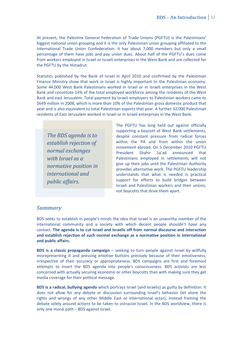At present, the Palestine General Federation of Trade Unions (PGFTU) is the Palestinians' biggest national union grouping and it is the only Palestinian union grouping affiliated to the International Trade Union Confederation. It has about 7,000 members but only a small percentage of them have jobs and pay union dues. About half of the PGFTU's dues come from workers employed in Israel or Israeli enterprises in the West Bank and are collected for the PGFTU by the Histadrut.

Statistics published by the Bank of Israel in April 2010 and confirmed by the Palestinian Finance Ministry show that work in Israel is highly important to the Palestinian economy. Some 44,000 West Bank Palestinians worked in Israel or in Israeli enterprises in the West Bank and constitute 14% of the total employed workforce among the residents of the West Bank and east Jerusalem. Total payment by Israeli employers to Palestinian workers came to \$649 million in 2008, which is more than 10% of the Palestinian gross domestic product that year and is also equivalent to total Palestinian exports that year. A further 32,000 Palestinian residents of East Jerusalem worked in Israel or in Israeli enterprises in the West Bank.

*The BDS agenda is to establish rejection of normal exchanges with Israel as a normative position in international and public affairs.*

The PGFTU has long held out against officially supporting a boycott of West Bank settlements, despite constant pressure from radical forces within the PA and from within the union movement abroad. On 5 December 2010 PGFTU President Shahir Sa'ad announced that Palestinians employed in settlements will not give up their jobs until the Palestinian Authority provides alternative work. The PGFTU leadership understands that what is needed is practical support for efforts to build bridges between Israeli and Palestinian workers and their unions, not boycotts that drive them apart.

#### *Summary*

BDS seeks to establish in people's minds the idea that Israel is an unworthy member of the international community and a society with which decent people shouldn't have any contact. **The agenda is to cut Israel and Israelis off from normal discourse and interaction and establish rejection of such normal exchange as a normative position in international and public affairs.**

**BDS is a classic propaganda campaign** – seeking to turn people against Israel by willfully misrepresenting it and pressing emotive buttons precisely because of their emotiveness, irrespective of their accuracy or appropriateness. BDS campaigns are first and foremost attempts to insert the BDS agenda into people's consciousness. BDS activists are less concerned with actually securing economic or other boycotts than with making sure they get media coverage for their political message.

**BDS is a radical, bullying agenda** which portrays Israel (and Israelis) as guilty by definition. It does not allow for any debate or discussion surrounding Israel's behavior (let alone the rights and wrongs of any other Middle East or international actor), instead framing the debate solely around actions to be taken to ostracize Israel. In the BDS worldview, there is only one moral path – BDS against Israel.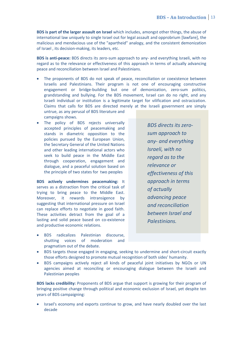**BDS is part of the larger assault on Israel** which includes, amongst other things, the abuse of international law uniquely to single Israel out for legal assault and opprobrium [lawfare], the malicious and mendacious use of the "apartheid" analogy, and the consistent demonization of Israel , its decision-making, its leaders, etc.

**BDS is anti-peace:** BDS directs its zero-sum approach to any- and everything Israeli, with no regard as to the relevance or effectiveness of this approach in terms of actually advancing peace and reconciliation between Israel and Palestinians.

- The proponents of BDS do not speak of peace, reconciliation or coexistence between Israelis and Palestinians. Their program is not one of encouraging constructive engagement or bridge-building but one of demonization, zero-sum politics, grandstanding and bullying. For the BDS movement, Israel can do no right, and any Israeli individual or institution is a legitimate target for vilification and ostracization. Claims that calls for BDS are directed merely at the Israeli government are simply untrue, as any perusal of BDS literature and campaigns shows.
- The policy of BDS rejects universally accepted principles of peacemaking and stands in diametric opposition to the policies pursued by the European Union, the Secretary General of the United Nations and other leading international actors who seek to build peace in the Middle East through cooperation, engagement and dialogue, and a peaceful solution based on the principle of two states for two peoples

**BDS actively undermines peacemaking:** It serves as a distraction from the critical task of trying to bring peace to the Middle East. Moreover, it rewards intransigence by suggesting that international pressure on Israel can replace efforts to negotiate in good faith. These activities detract from the goal of a lasting and solid peace based on co-existence and productive economic relations.

*sum approach to any- and everything Israeli, with no regard as to the relevance or effectiveness of this approach in terms of actually advancing peace and reconciliation between Israel and Palestinians.*

*BDS directs its zero-*

- BDS radicalizes Palestinian discourse, shutting voices of moderation and pragmatism out of the debate.
- BDS targets those engaged in engaging, seeking to undermine and short-circuit exactly those efforts designed to promote mutual recognition of both sides' humanity.
- BDS campaigns actively reject all kinds of peaceful joint initiatives by NGOs or UN agencies aimed at reconciling or encouraging dialogue between the Israeli and Palestinian peoples

**BDS lacks credibility:** Proponents of BDS argue that support is growing for their program of bringing positive change through political and economic exclusion of Israel, yet despite ten years of BDS campaigning:

 Israel's economy and exports continue to grow, and have nearly doubled over the last decade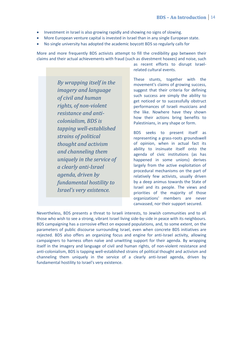- Investment in Israel is also growing rapidly and showing no signs of slowing.
- More European venture capital is invested in Israel than in any single European state.
- No single university has adopted the academic boycott BDS so regularly calls for

More and more frequently BDS activists attempt to fill the credibility gap between their claims and their actual achievements with fraud (such as divestment hoaxes) and noise, such

> *By wrapping itself in the imagery and language of civil and human rights, of non-violent resistance and anticolonialism, BDS is tapping well-established strains of political thought and activism and channeling them uniquely in the service of a clearly anti-Israel agenda, driven by fundamental hostility to Israel's very existence.*

as recent efforts to disrupt Israelrelated cultural events.

These stunts, together with the movement's claims of growing success, suggest that their criteria for defining such success are simply the ability to get noticed or to successfully obstruct performances of Israeli musicians and the like. Nowhere have they shown how their actions bring benefits to Palestinians, in any shape or form.

BDS seeks to present itself as representing a grass-roots groundswell of opinion, when in actual fact its ability to insinuate itself onto the agenda of civic institutions (as has happened in some unions) derives largely from the active exploitation of procedural mechanisms on the part of relatively few activists, usually driven by a deep animus towards the State of Israel and its people. The views and priorities of the majority of those organizations' members are never canvassed, nor their support secured.

Nevertheless, BDS presents a threat to Israeli interests, to Jewish communities and to all those who wish to see a strong, vibrant Israel living side-by-side in peace with its neighbours. BDS campaigning has a corrosive effect on exposed populations, and, to some extent, on the parameters of public discourse surrounding Israel, even when concrete BDS initiatives are rejected. BDS also offers an organizing focus and engine for anti-Israel activity, allowing campaigners to harness often naïve and unwitting support for their agenda. By wrapping itself in the imagery and language of civil and human rights, of non-violent resistance and anti-colonialism, BDS is tapping well-established strains of political thought and activism and channeling them uniquely in the service of a clearly anti-Israel agenda, driven by fundamental hostility to Israel's very existence.